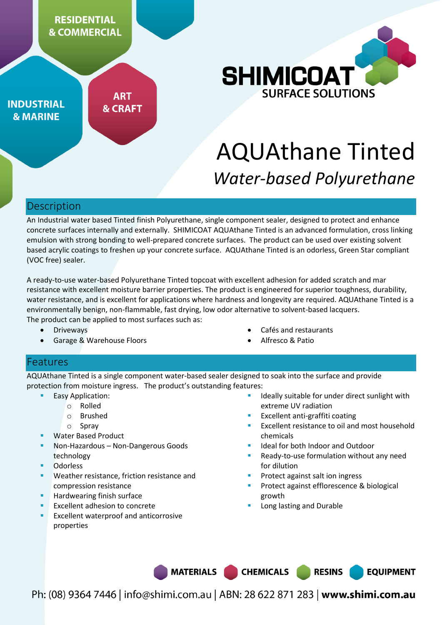

**INDUSTRIAL & MARINE** 

**ART & CRAFT** 



# AQUAthane Tinted *Water-based Polyurethane*

# Description

An Industrial water based Tinted finish Polyurethane, single component sealer, designed to protect and enhance concrete surfaces internally and externally. SHIMICOAT AQUAthane Tinted is an advanced formulation, cross linking emulsion with strong bonding to well-prepared concrete surfaces. The product can be used over existing solvent based acrylic coatings to freshen up your concrete surface. AQUAthane Tinted is an odorless, Green Star compliant (VOC free) sealer.

A ready-to-use water-based Polyurethane Tinted topcoat with excellent adhesion for added scratch and mar resistance with excellent moisture barrier properties. The product is engineered for superior toughness, durability, water resistance, and is excellent for applications where hardness and longevity are required. AQUAthane Tinted is a environmentally benign, non-flammable, fast drying, low odor alternative to solvent-based lacquers. The product can be applied to most surfaces such as:

- Driveways
- Garage & Warehouse Floors
- Cafés and restaurants
- Alfresco & Patio

### Features

AQUAthane Tinted is a single component water-based sealer designed to soak into the surface and provide protection from moisture ingress. The product's outstanding features:

- Easy Application:
	- o Rolled
		- o Brushed
		- o Spray
- Water Based Product
- Non-Hazardous Non-Dangerous Goods technology
- Odorless
- Weather resistance, friction resistance and compression resistance
- Hardwearing finish surface
- Excellent adhesion to concrete
- Excellent waterproof and anticorrosive properties
- Ideally suitable for under direct sunlight with extreme UV radiation
- Excellent anti-graffiti coating
- Excellent resistance to oil and most household chemicals
- Ideal for both Indoor and Outdoor
- Ready-to-use formulation without any need for dilution
- Protect against salt ion ingress
- Protect against efflorescence & biological growth

**RESINS** 

**EQUIPMENT** 

Long lasting and Durable

**MATERIALS** 

**CHEMICALS** 

Ph: (08) 9364 7446 | info@shimi.com.au | ABN: 28 622 871 283 | www.shimi.com.au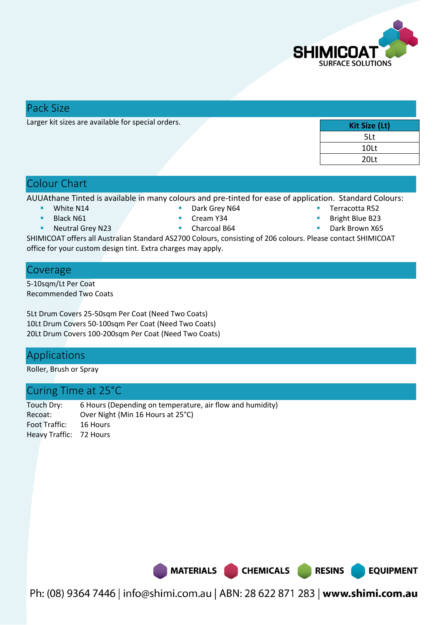

### Pack Size

Larger kit sizes are available for special orders.

| Kit Size (Lt) |
|---------------|
| 5Lt           |
| 10Lt          |
| 20Lt          |

## Colour Chart

AUUAthane Tinted is available in many colours and pre-tinted for ease of application. Standard Colours:

White N14

Dark Grey N64

- Black N61
- Neutral Grey N23

 Cream Y34 ■ Charcoal B64

- Terracotta R52
- Bright Blue B23
- Dark Brown X65

**EQUIPMENT** 

SHIMICOAT offers all Australian Standard AS2700 Colours, consisting of 206 colours. Please contact SHIMICOAT office for your custom design tint. Extra charges may apply.

### Coverage

5-10sqm/Lt Per Coat Recommended Two Coats

5Lt Drum Covers 25-50sqm Per Coat (Need Two Coats) 10Lt Drum Covers 50-100sqm Per Coat (Need Two Coats) 20Lt Drum Covers 100-200sqm Per Coat (Need Two Coats)

# Applications

Roller, Brush or Spray

# Curing Time at 25°C

Touch Dry: 6 Hours (Depending on temperature, air flow and humidity) Recoat: Over Night (Min 16 Hours at 25°C) Foot Traffic: 16 Hours Heavy Traffic: 72 Hours

MATERIALS CHEMICALS RESINS

Ph: (08) 9364 7446 | info@shimi.com.au | ABN: 28 622 871 283 | www.shimi.com.au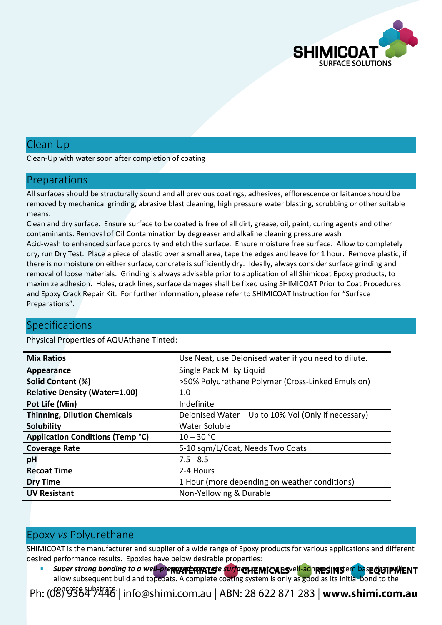

# Clean Up

Clean-Up with water soon after completion of coating

#### Preparations

All surfaces should be structurally sound and all previous coatings, adhesives, efflorescence or laitance should be removed by mechanical grinding, abrasive blast cleaning, high pressure water blasting, scrubbing or other suitable means.

Clean and dry surface. Ensure surface to be coated is free of all dirt, grease, oil, paint, curing agents and other contaminants. Removal of Oil Contamination by degreaser and alkaline cleaning pressure wash Acid-wash to enhanced surface porosity and etch the surface. Ensure moisture free surface. Allow to completely dry, run Dry Test. Place a piece of plastic over a small area, tape the edges and leave for 1 hour. Remove plastic, if there is no moisture on either surface, concrete is sufficiently dry. Ideally, always consider surface grinding and removal of loose materials. Grinding is always advisable prior to application of all Shimicoat Epoxy products, to maximize adhesion. Holes, crack lines, surface damages shall be fixed using SHIMICOAT Prior to Coat Procedures and Epoxy Crack Repair Kit. For further information, please refer to SHIMICOAT Instruction for "Surface Preparations".

### **Specifications**

Physical Properties of AQUAthane Tinted:

| <b>Mix Ratios</b>                       | Use Neat, use Deionised water if you need to dilute. |
|-----------------------------------------|------------------------------------------------------|
| Appearance                              | Single Pack Milky Liquid                             |
| Solid Content (%)                       | >50% Polyurethane Polymer (Cross-Linked Emulsion)    |
| <b>Relative Density (Water=1.00)</b>    | 1.0                                                  |
| Pot Life (Min)                          | Indefinite                                           |
| <b>Thinning, Dilution Chemicals</b>     | Deionised Water - Up to 10% Vol (Only if necessary)  |
| <b>Solubility</b>                       | <b>Water Soluble</b>                                 |
| <b>Application Conditions (Temp °C)</b> | $10 - 30 °C$                                         |
| <b>Coverage Rate</b>                    | 5-10 sqm/L/Coat, Needs Two Coats                     |
| pH                                      | $7.5 - 8.5$                                          |
| <b>Recoat Time</b>                      | 2-4 Hours                                            |
| <b>Dry Time</b>                         | 1 Hour (more depending on weather conditions)        |
| <b>UV Resistant</b>                     | Non-Yellowing & Durable                              |

# Epoxy *vs* Polyurethane

SHIMICOAT is the manufacturer and supplier of a wide range of Epoxy products for various applications and different desired performance results. Epoxies have below desirable properties:

Super strong bonding to a well-pre**ppare curred surface, reparting a synch adhered was edig through F** allow subsequent build and topcoats. A complete coating system is only as good as its initial bond to the

Ph: (08) 9364 9446 | info@shimi.com.au | ABN: 28 622 871 283 | www.shimi.com.au